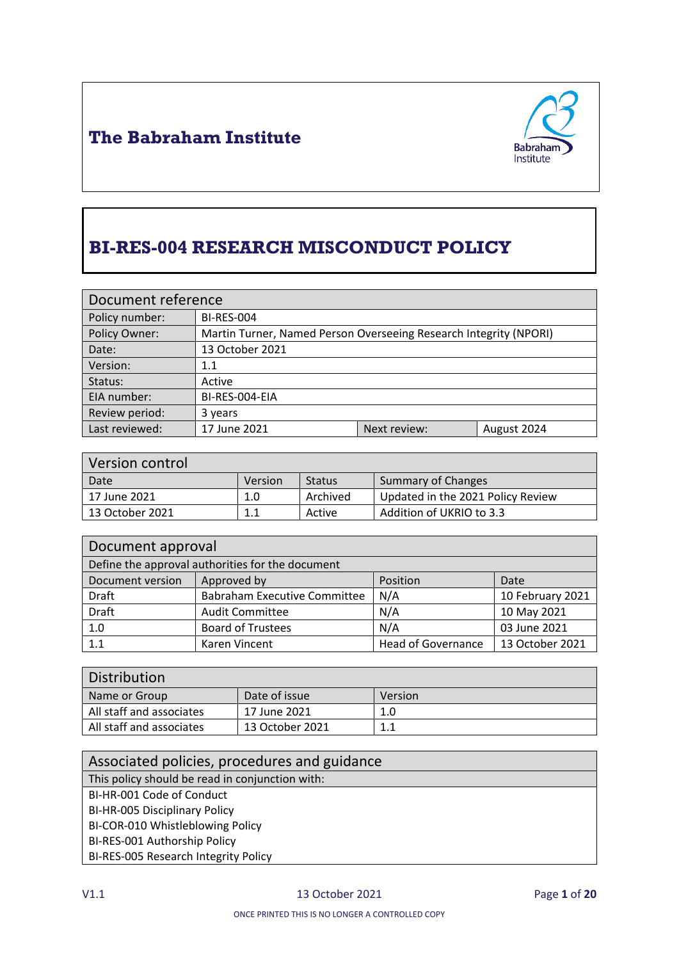

# **BI-RES-004 RESEARCH MISCONDUCT POLICY**

| Document reference             |                                                                   |              |             |
|--------------------------------|-------------------------------------------------------------------|--------------|-------------|
| Policy number:                 | <b>BI-RES-004</b>                                                 |              |             |
| Policy Owner:                  | Martin Turner, Named Person Overseeing Research Integrity (NPORI) |              |             |
| Date:                          | 13 October 2021                                                   |              |             |
| Version:                       | 1.1                                                               |              |             |
| Status:                        | Active                                                            |              |             |
| EIA number:                    | BI-RES-004-EIA                                                    |              |             |
| Review period:                 | 3 years                                                           |              |             |
| Last reviewed:<br>17 June 2021 |                                                                   | Next review: | August 2024 |

| Version control |         |          |                                   |
|-----------------|---------|----------|-----------------------------------|
| Date            | Version | Status   | <b>Summary of Changes</b>         |
| 17 June 2021    | 1.0     | Archived | Updated in the 2021 Policy Review |
| 13 October 2021 | 1.1     | Active   | Addition of UKRIO to 3.3          |

| Document approval                                |                                     |                           |                  |
|--------------------------------------------------|-------------------------------------|---------------------------|------------------|
| Define the approval authorities for the document |                                     |                           |                  |
| Document version                                 | Approved by                         | Position                  | Date             |
| <b>Draft</b>                                     | <b>Babraham Executive Committee</b> | N/A                       | 10 February 2021 |
| <b>Draft</b>                                     | <b>Audit Committee</b>              | N/A                       | 10 May 2021      |
| 1.0                                              | <b>Board of Trustees</b>            | N/A                       | 03 June 2021     |
| 1.1                                              | Karen Vincent                       | <b>Head of Governance</b> | 13 October 2021  |

| Distribution             |                 |         |
|--------------------------|-----------------|---------|
| Name or Group            | Date of issue   | Version |
| All staff and associates | 17 June 2021    | 1.0     |
| All staff and associates | 13 October 2021 | 1.1     |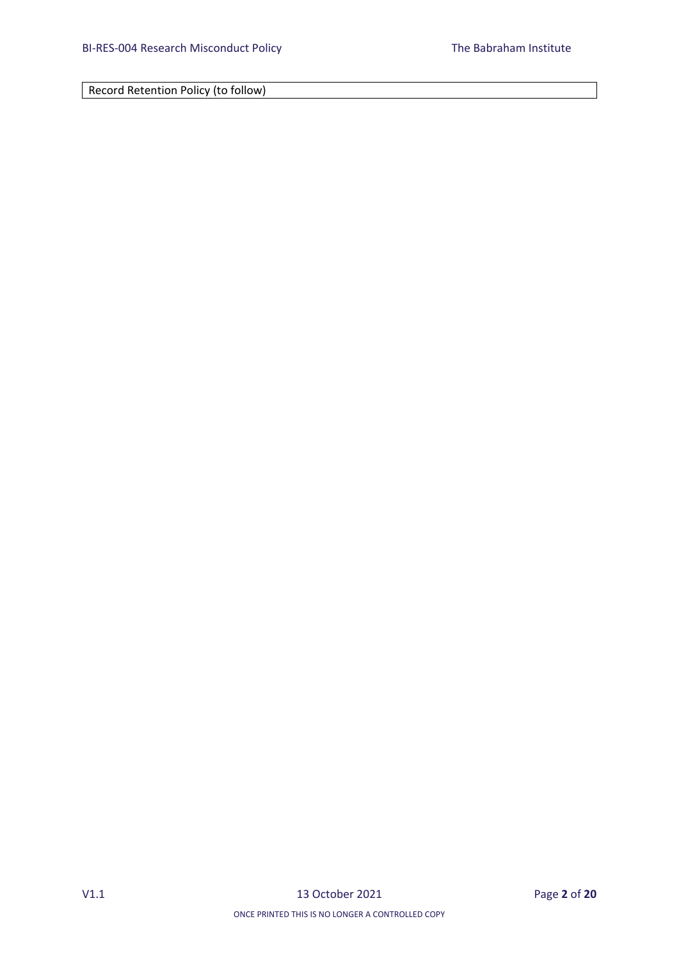Record Retention Policy (to follow)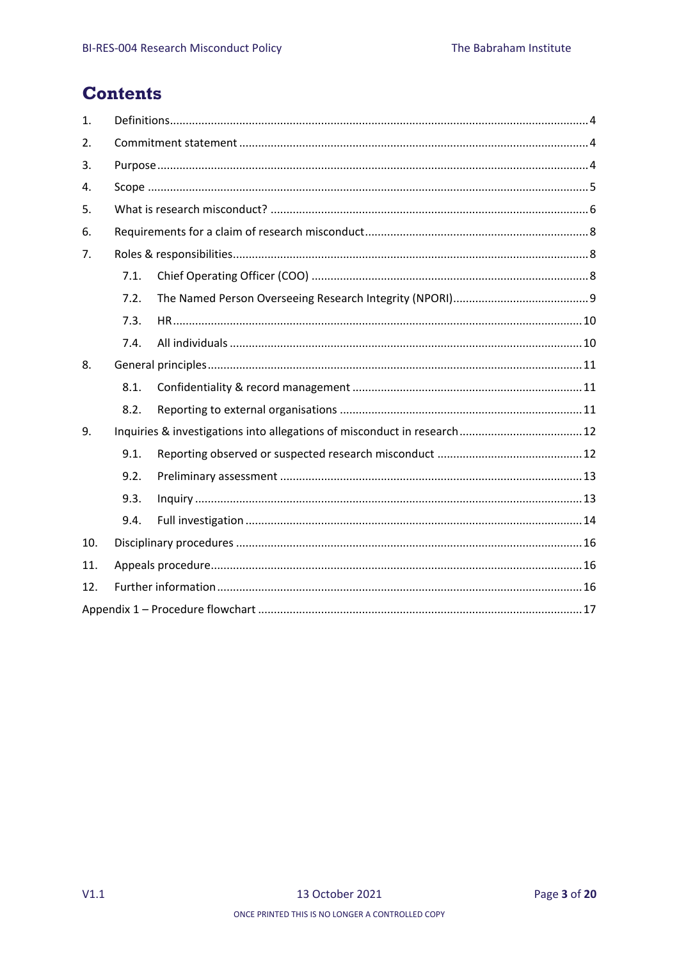## **Contents**

| 1.  |      |  |  |
|-----|------|--|--|
| 2.  |      |  |  |
| 3.  |      |  |  |
| 4.  |      |  |  |
| 5.  |      |  |  |
| 6.  |      |  |  |
| 7.  |      |  |  |
|     | 7.1. |  |  |
|     | 7.2. |  |  |
|     | 7.3. |  |  |
|     | 7.4. |  |  |
| 8.  |      |  |  |
|     | 8.1. |  |  |
|     | 8.2. |  |  |
| 9.  |      |  |  |
|     | 9.1. |  |  |
|     | 9.2. |  |  |
|     | 9.3. |  |  |
|     | 9.4. |  |  |
| 10. |      |  |  |
| 11. |      |  |  |
| 12. |      |  |  |
|     |      |  |  |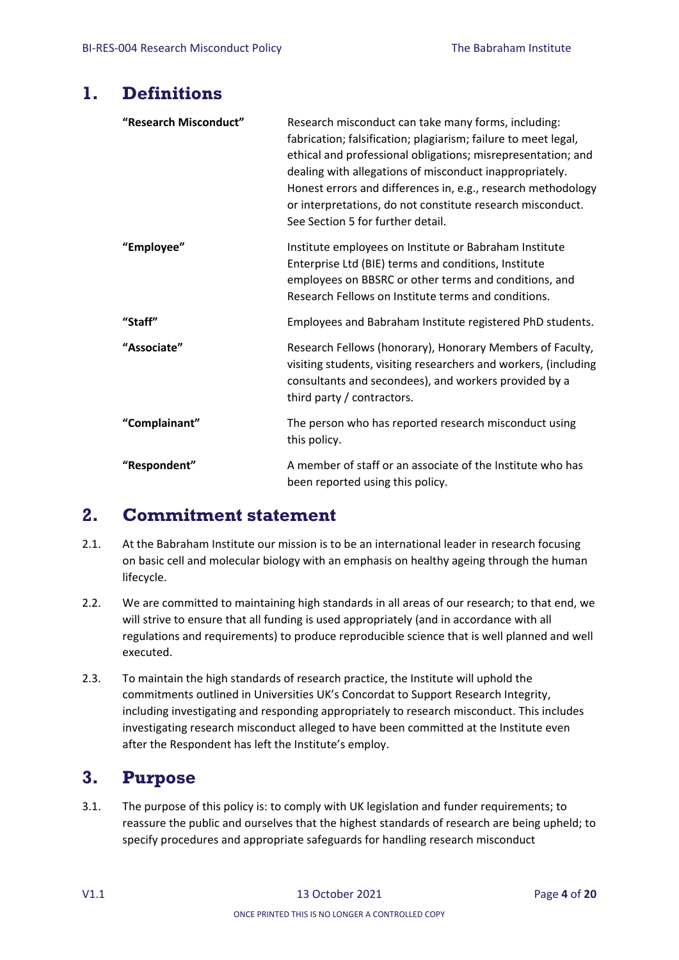### <span id="page-3-0"></span>**1. Definitions**

| "Research Misconduct" | Research misconduct can take many forms, including:<br>fabrication; falsification; plagiarism; failure to meet legal,<br>ethical and professional obligations; misrepresentation; and<br>dealing with allegations of misconduct inappropriately.<br>Honest errors and differences in, e.g., research methodology<br>or interpretations, do not constitute research misconduct.<br>See Section 5 for further detail. |
|-----------------------|---------------------------------------------------------------------------------------------------------------------------------------------------------------------------------------------------------------------------------------------------------------------------------------------------------------------------------------------------------------------------------------------------------------------|
| "Employee"            | Institute employees on Institute or Babraham Institute<br>Enterprise Ltd (BIE) terms and conditions, Institute<br>employees on BBSRC or other terms and conditions, and<br>Research Fellows on Institute terms and conditions.                                                                                                                                                                                      |
| "Staff"               | Employees and Babraham Institute registered PhD students.                                                                                                                                                                                                                                                                                                                                                           |
| "Associate"           | Research Fellows (honorary), Honorary Members of Faculty,<br>visiting students, visiting researchers and workers, (including<br>consultants and secondees), and workers provided by a<br>third party / contractors.                                                                                                                                                                                                 |
| "Complainant"         | The person who has reported research misconduct using<br>this policy.                                                                                                                                                                                                                                                                                                                                               |
| "Respondent"          | A member of staff or an associate of the Institute who has<br>been reported using this policy.                                                                                                                                                                                                                                                                                                                      |

## <span id="page-3-1"></span>**2. Commitment statement**

- 2.1. At the Babraham Institute our mission is to be an international leader in research focusing on basic cell and molecular biology with an emphasis on healthy ageing through the human lifecycle.
- 2.2. We are committed to maintaining high standards in all areas of our research; to that end, we will strive to ensure that all funding is used appropriately (and in accordance with all regulations and requirements) to produce reproducible science that is well planned and well executed.
- 2.3. To maintain the high standards of research practice, the Institute will uphold the commitments outlined in Universities UK's Concordat to Support Research Integrity, including investigating and responding appropriately to research misconduct. This includes investigating research misconduct alleged to have been committed at the Institute even after the Respondent has left the Institute's employ.

## <span id="page-3-2"></span>**3. Purpose**

3.1. The purpose of this policy is: to comply with UK legislation and funder requirements; to reassure the public and ourselves that the highest standards of research are being upheld; to specify procedures and appropriate safeguards for handling research misconduct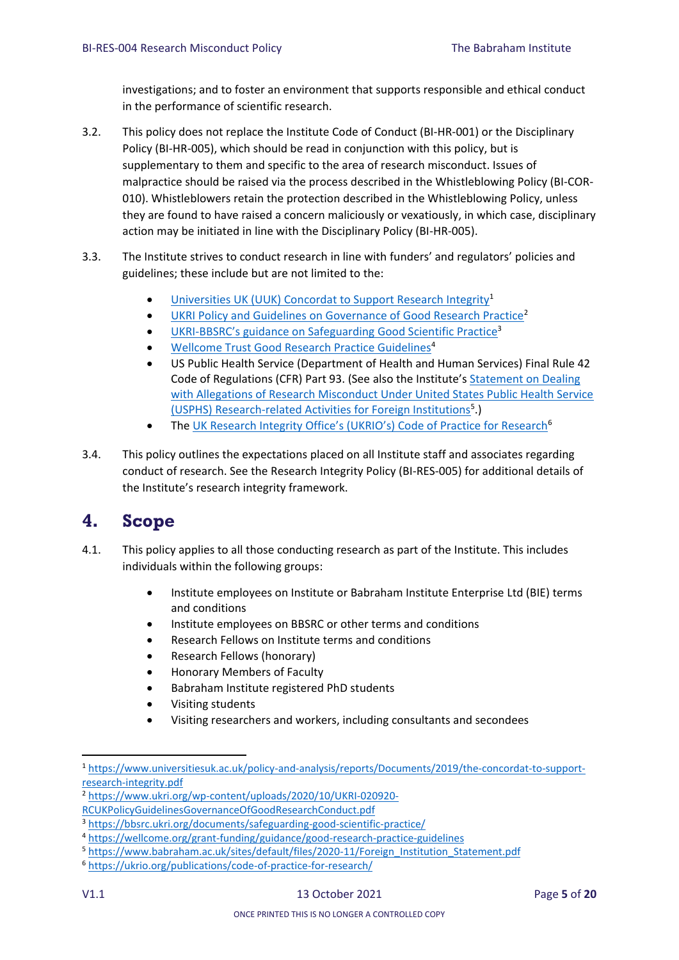investigations; and to foster an environment that supports responsible and ethical conduct in the performance of scientific research.

- 3.2. This policy does not replace the [Institute Code of Conduct \(BI-HR-001\) o](http://www.rcuk.ac.uk/documents/terms/CodeofConductPolicy-pdf/?.pdf)r the Disciplinary Policy (BI-HR-005), which should be read in conjunction with this policy, but is supplementary to them and specific to the area of research misconduct. Issues of malpractice should be raised via the process described in the Whistleblowing Policy (BI-COR-010). Whistleblowers retain the protection described in the Whistleblowing Policy, unless they are found to have raised a concern maliciously or vexatiously, in which case, disciplinary action may be initiated in line with the Disciplinary Policy (BI-HR-005).
- 3.3. The Institute strives to conduct research in line with funders' and regulators' policies and guidelines; these include but are not limited to the:
	- [Universities UK \(UUK\) Concordat to Support Research Integrity](https://www.universitiesuk.ac.uk/policy-and-analysis/reports/Documents/2019/the-concordat-to-support-research-integrity.pdf)<sup>1</sup>
	- **UKRI [Policy and Guidelines on Governance of Good Research Practice](https://www.ukri.org/wp-content/uploads/2020/10/UKRI-020920-RCUKPolicyGuidelinesGovernanceOfGoodResearchConduct.pdf)<sup>2</sup>**
	- UKRI-[BBSRC's guidance on Safeguarding](https://bbsrc.ukri.org/documents/safeguarding-good-scientific-practice/) Good Scientific Practice<sup>3</sup>
	- [Wellcome Trust Good Research Practice Guidelines](https://wellcome.org/grant-funding/guidance/good-research-practice-guidelines)<sup>4</sup>
	- US Public Health Service (Department of Health and Human Services) Final Rule 42 Code of Regulations (CFR) Part 93. (See also the Institute's [Statement on Dealing](https://www.babraham.ac.uk/sites/default/files/2020-11/Foreign_Institution_Statement.pdf)  [with Allegations of Research Misconduct Under United States Public Health Service](https://www.babraham.ac.uk/sites/default/files/2020-11/Foreign_Institution_Statement.pdf)  [\(USPHS\) Research-related Activities for Foreign Institutions](https://www.babraham.ac.uk/sites/default/files/2020-11/Foreign_Institution_Statement.pdf)<sup>5</sup>.)
	- The [UK Research Integrity Office's \(UKRIO's\) Code of Practice for Research](https://ukrio.org/publications/code-of-practice-for-research/)<sup>6</sup>
- 3.4. This policy outlines the expectations placed on all Institute staff and associates regarding conduct of research. See the Research Integrity Policy (BI-RES-005) for additional details of the Institute's research integrity framework.

## <span id="page-4-0"></span>**4. Scope**

- 4.1. This policy applies to all those conducting research as part of the Institute. This includes individuals within the following groups:
	- Institute employees on Institute or Babraham Institute Enterprise Ltd (BIE) terms and conditions
	- Institute employees on BBSRC or other terms and conditions
	- Research Fellows on Institute terms and conditions
	- Research Fellows (honorary)
	- Honorary Members of Faculty
	- Babraham Institute registered PhD students
	- Visiting students
	- Visiting researchers and workers, including consultants and secondees

**.** 

<sup>1</sup> [https://www.universitiesuk.ac.uk/policy-and-analysis/reports/Documents/2019/the-concordat-to-support](https://www.universitiesuk.ac.uk/policy-and-analysis/reports/Documents/2019/the-concordat-to-support-research-integrity.pdf)[research-integrity.pdf](https://www.universitiesuk.ac.uk/policy-and-analysis/reports/Documents/2019/the-concordat-to-support-research-integrity.pdf)

<sup>2</sup> [https://www.ukri.org/wp-content/uploads/2020/10/UKRI-020920-](https://www.ukri.org/wp-content/uploads/2020/10/UKRI-020920-RCUKPolicyGuidelinesGovernanceOfGoodResearchConduct.pdf)

[RCUKPolicyGuidelinesGovernanceOfGoodResearchConduct.pdf](https://www.ukri.org/wp-content/uploads/2020/10/UKRI-020920-RCUKPolicyGuidelinesGovernanceOfGoodResearchConduct.pdf)

<sup>3</sup> <https://bbsrc.ukri.org/documents/safeguarding-good-scientific-practice/>

<sup>4</sup> <https://wellcome.org/grant-funding/guidance/good-research-practice-guidelines>

<sup>5</sup> [https://www.babraham.ac.uk/sites/default/files/2020-11/Foreign\\_Institution\\_Statement.pdf](https://www.babraham.ac.uk/sites/default/files/2020-11/Foreign_Institution_Statement.pdf)

<sup>6</sup> <https://ukrio.org/publications/code-of-practice-for-research/>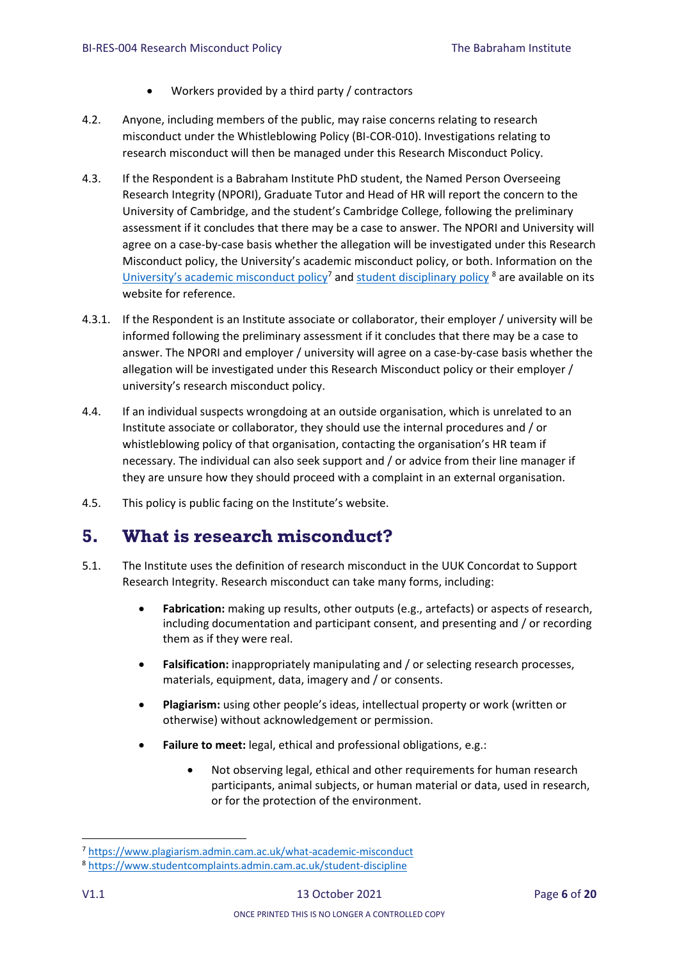- Workers provided by a third party / contractors
- 4.2. Anyone, including members of the public, may raise concerns relating to research misconduct under the Whistleblowing Policy (BI-COR-010). Investigations relating to research misconduct will then be managed under this Research Misconduct Policy.
- 4.3. If the Respondent is a Babraham Institute PhD student, the Named Person Overseeing Research Integrity (NPORI), Graduate Tutor and Head of HR will report the concern to the University of Cambridge, and the student's Cambridge College, following the preliminary assessment if it concludes that there may be a case to answer. The NPORI and University will agree on a case-by-case basis whether the allegation will be investigated under this Research Misconduct policy, the University's academic misconduct policy, or both. Information on the [University's academic misconduct policy](https://www.plagiarism.admin.cam.ac.uk/what-academic-misconduct)<sup>7</sup> and [student disciplinary policy](https://www.studentcomplaints.admin.cam.ac.uk/student-discipline)<sup>8</sup> are available on its website for reference.
- 4.3.1. If the Respondent is an Institute associate or collaborator, their employer / university will be informed following the preliminary assessment if it concludes that there may be a case to answer. The NPORI and employer / university will agree on a case-by-case basis whether the allegation will be investigated under this Research Misconduct policy or their employer / university's research misconduct policy.
- 4.4. If an individual suspects wrongdoing at an outside organisation, which is unrelated to an Institute associate or collaborator, they should use the internal procedures and / or whistleblowing policy of that organisation, contacting the organisation's HR team if necessary. The individual can also seek support and / or advice from their line manager if they are unsure how they should proceed with a complaint in an external organisation.
- 4.5. This policy is public facing on the Institute's website.

## <span id="page-5-0"></span>**5. What is research misconduct?**

- 5.1. The Institute uses the definition of research misconduct in the UUK Concordat to Support Research Integrity. Research misconduct can take many forms, including:
	- **Fabrication:** making up results, other outputs (e.g., artefacts) or aspects of research, including documentation and participant consent, and presenting and / or recording them as if they were real.
	- **Falsification:** inappropriately manipulating and / or selecting research processes, materials, equipment, data, imagery and / or consents.
	- **Plagiarism:** using other people's ideas, intellectual property or work (written or otherwise) without acknowledgement or permission.
	- **Failure to meet:** legal, ethical and professional obligations, e.g.:
		- Not observing legal, ethical and other requirements for human research participants, animal subjects, or human material or data, used in research, or for the protection of the environment.

1

<sup>7</sup> <https://www.plagiarism.admin.cam.ac.uk/what-academic-misconduct>

<sup>8</sup> <https://www.studentcomplaints.admin.cam.ac.uk/student-discipline>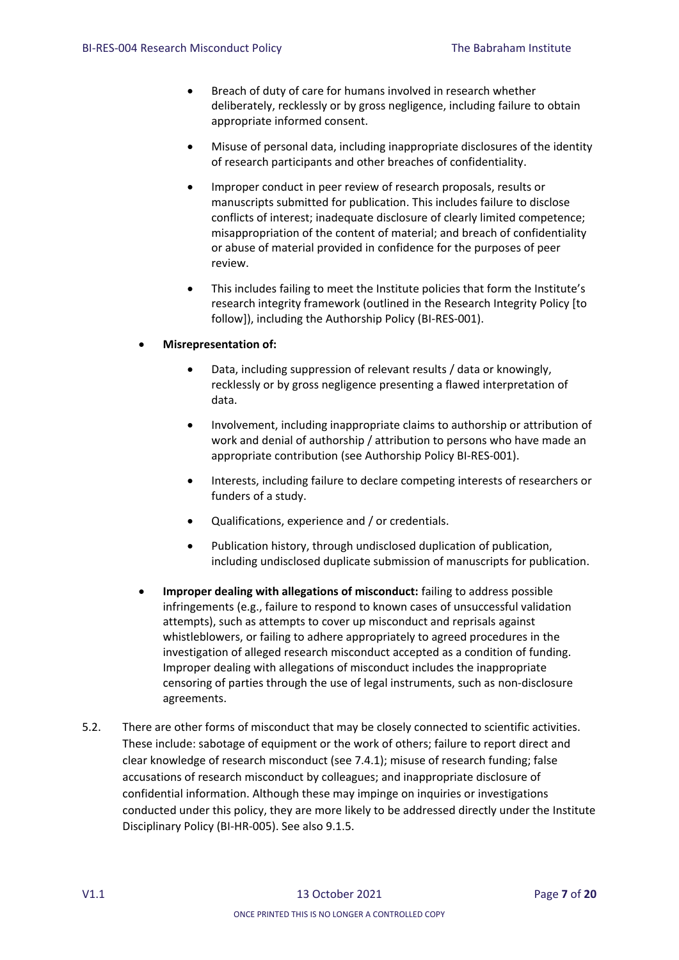- Breach of duty of care for humans involved in research whether deliberately, recklessly or by gross negligence, including failure to obtain appropriate informed consent.
- Misuse of personal data, including inappropriate disclosures of the identity of research participants and other breaches of confidentiality.
- Improper conduct in peer review of research proposals, results or manuscripts submitted for publication. This includes failure to disclose conflicts of interest; inadequate disclosure of clearly limited competence; misappropriation of the content of material; and breach of confidentiality or abuse of material provided in confidence for the purposes of peer review.
- This includes failing to meet the Institute policies that form the Institute's research integrity framework (outlined in the Research Integrity Policy [to follow]), including the Authorship Policy (BI-RES-001).

#### **Misrepresentation of:**

- Data, including suppression of relevant results / data or knowingly, recklessly or by gross negligence presenting a flawed interpretation of data.
- Involvement, including inappropriate claims to authorship or attribution of work and denial of authorship / attribution to persons who have made an appropriate contribution (see Authorship Policy BI-RES-001).
- Interests, including failure to declare competing interests of researchers or funders of a study.
- Qualifications, experience and / or credentials.
- Publication history, through undisclosed duplication of publication, including undisclosed duplicate submission of manuscripts for publication.
- **Improper dealing with allegations of misconduct:** failing to address possible infringements (e.g., failure to respond to known cases of unsuccessful validation attempts), such as attempts to cover up misconduct and reprisals against whistleblowers, or failing to adhere appropriately to agreed procedures in the investigation of alleged research misconduct accepted as a condition of funding. Improper dealing with allegations of misconduct includes the inappropriate censoring of parties through the use of legal instruments, such as non-disclosure agreements.
- 5.2. There are other forms of misconduct that may be closely connected to scientific activities. These include: sabotage of equipment or the work of others; failure to report direct and clear knowledge of research misconduct (see 7.4.1); misuse of research funding; false accusations of research misconduct by colleagues; and inappropriate disclosure of confidential information. Although these may impinge on inquiries or investigations conducted under this policy, they are more likely to be addressed directly under the Institute Disciplinary Policy (BI-HR-005). See also 9.1.5.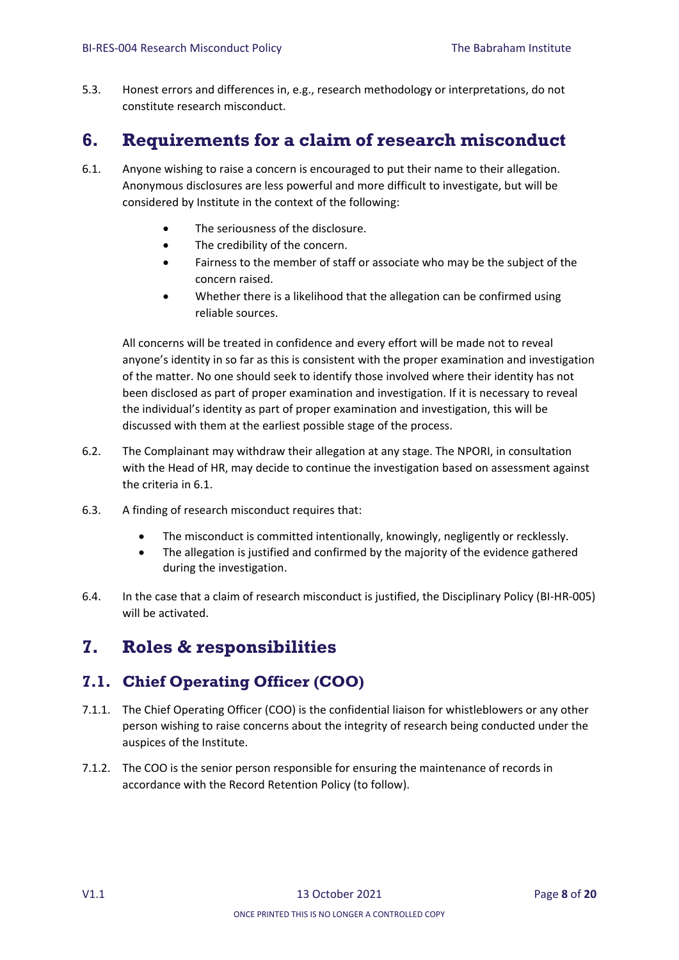5.3. Honest errors and differences in, e.g., research methodology or interpretations, do not constitute research misconduct.

## <span id="page-7-0"></span>**6. Requirements for a claim of research misconduct**

- 6.1. Anyone wishing to raise a concern is encouraged to put their name to their allegation. Anonymous disclosures are less powerful and more difficult to investigate, but will be considered by Institute in the context of the following:
	- The seriousness of the disclosure.
	- The credibility of the concern.
	- Fairness to the member of staff or associate who may be the subject of the concern raised.
	- Whether there is a likelihood that the allegation can be confirmed using reliable sources.

All concerns will be treated in confidence and every effort will be made not to reveal anyone's identity in so far as this is consistent with the proper examination and investigation of the matter. No one should seek to identify those involved where their identity has not been disclosed as part of proper examination and investigation. If it is necessary to reveal the individual's identity as part of proper examination and investigation, this will be discussed with them at the earliest possible stage of the process.

- 6.2. The Complainant may withdraw their allegation at any stage. The NPORI, in consultation with the Head of HR, may decide to continue the investigation based on assessment against the criteria in 6.1.
- 6.3. A finding of research misconduct requires that:
	- The misconduct is committed intentionally, knowingly, negligently or recklessly.
	- The allegation is justified and confirmed by the majority of the evidence gathered during the investigation.
- 6.4. In the case that a claim of research misconduct is justified, the Disciplinary Policy (BI-HR-005) will be activated.

## <span id="page-7-1"></span>**7. Roles & responsibilities**

### <span id="page-7-2"></span>**7.1. Chief Operating Officer (COO)**

- 7.1.1. The Chief Operating Officer (COO) is the confidential liaison for whistleblowers or any other person wishing to raise concerns about the integrity of research being conducted under the auspices of the Institute.
- 7.1.2. The COO is the senior person responsible for ensuring the maintenance of records in accordance with the Record Retention Policy (to follow).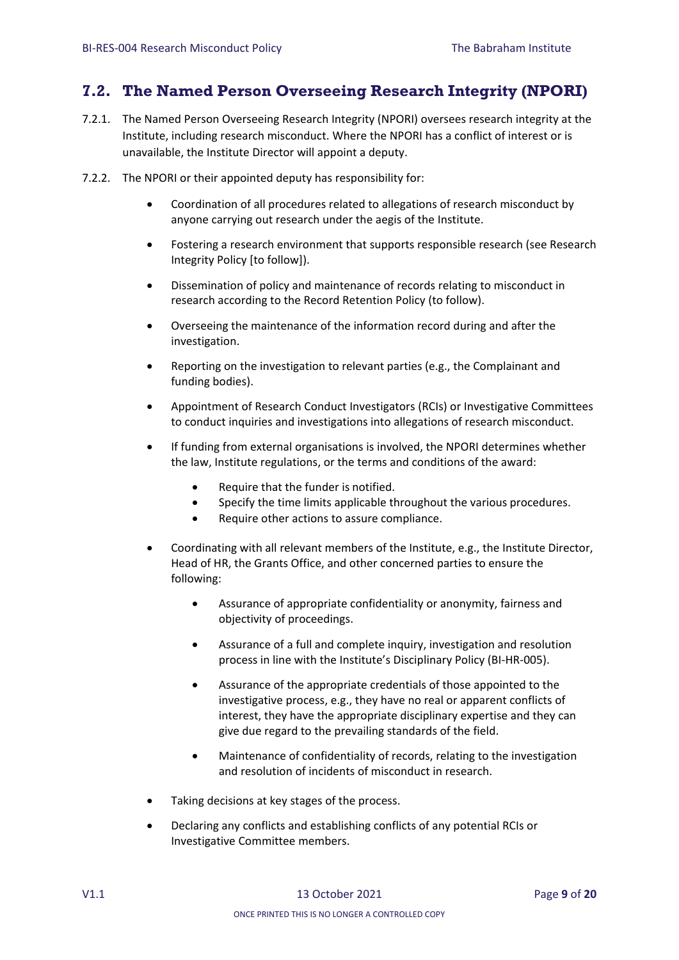### <span id="page-8-0"></span>**7.2. The Named Person Overseeing Research Integrity (NPORI)**

- 7.2.1. The Named Person Overseeing Research Integrity (NPORI) oversees research integrity at the Institute, including research misconduct. Where the NPORI has a conflict of interest or is unavailable, the Institute Director will appoint a deputy.
- 7.2.2. The NPORI or their appointed deputy has responsibility for:
	- Coordination of all procedures related to allegations of research misconduct by anyone carrying out research under the aegis of the Institute.
	- Fostering a research environment that supports responsible research (see Research Integrity Policy [to follow]).
	- Dissemination of policy and maintenance of records relating to misconduct in research according to the Record Retention Policy (to follow).
	- Overseeing the maintenance of the information record during and after the investigation.
	- Reporting on the investigation to relevant parties (e.g., the Complainant and funding bodies).
	- Appointment of Research Conduct Investigators (RCIs) or Investigative Committees to conduct inquiries and investigations into allegations of research misconduct.
	- If funding from external organisations is involved, the NPORI determines whether the law, Institute regulations, or the terms and conditions of the award:
		- Require that the funder is notified.
		- Specify the time limits applicable throughout the various procedures.
		- Require other actions to assure compliance.
	- Coordinating with all relevant members of the Institute, e.g., the Institute Director, Head of HR, the Grants Office, and other concerned parties to ensure the following:
		- Assurance of appropriate confidentiality or anonymity, fairness and objectivity of proceedings.
		- Assurance of a full and complete inquiry, investigation and resolution process in line with the Institute's Disciplinary Policy (BI-HR-005).
		- Assurance of the appropriate credentials of those appointed to the investigative process, e.g., they have no real or apparent conflicts of interest, they have the appropriate disciplinary expertise and they can give due regard to the prevailing standards of the field.
		- Maintenance of confidentiality of records, relating to the investigation and resolution of incidents of misconduct in research.
	- Taking decisions at key stages of the process.
	- Declaring any conflicts and establishing conflicts of any potential RCIs or Investigative Committee members.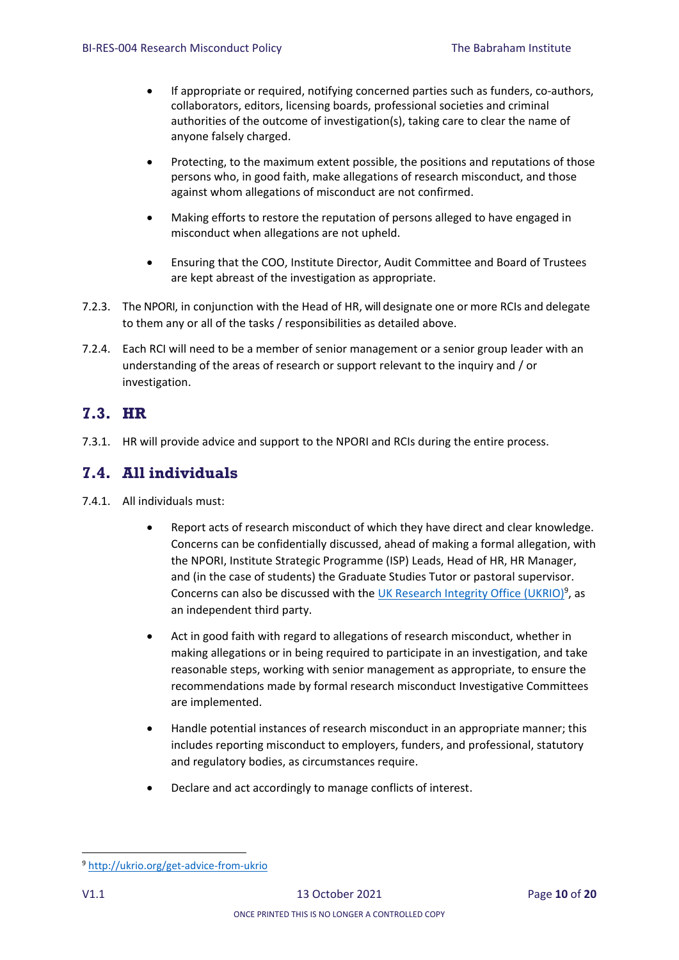- If appropriate or required, notifying concerned parties such as funders, co-authors, collaborators, editors, licensing boards, professional societies and criminal authorities of the outcome of investigation(s), taking care to clear the name of anyone falsely charged.
- Protecting, to the maximum extent possible, the positions and reputations of those persons who, in good faith, make allegations of research misconduct, and those against whom allegations of misconduct are not confirmed.
- Making efforts to restore the reputation of persons alleged to have engaged in misconduct when allegations are not upheld.
- Ensuring that the COO, Institute Director, Audit Committee and Board of Trustees are kept abreast of the investigation as appropriate.
- 7.2.3. The NPORI, in conjunction with the Head of HR, will designate one or more RCIs and delegate to them any or all of the tasks / responsibilities as detailed above.
- 7.2.4. Each RCI will need to be a member of senior management or a senior group leader with an understanding of the areas of research or support relevant to the inquiry and / or investigation.

#### <span id="page-9-0"></span>**7.3. HR**

7.3.1. HR will provide advice and support to the NPORI and RCIs during the entire process.

### <span id="page-9-1"></span>**7.4. All individuals**

- 7.4.1. All individuals must:
	- Report acts of research misconduct of which they have direct and clear knowledge. Concerns can be confidentially discussed, ahead of making a formal allegation, with the NPORI, Institute Strategic Programme (ISP) Leads, Head of HR, HR Manager, and (in the case of students) the Graduate Studies Tutor or pastoral supervisor. Concerns can also be discussed with the [UK Research Integrity Office \(UKRIO\)](http://ukrio.org/get-advice-from-ukrio/)<sup>9</sup>, as an independent third party.
	- Act in good faith with regard to allegations of research misconduct, whether in making allegations or in being required to participate in an investigation, and take reasonable steps, working with senior management as appropriate, to ensure the recommendations made by formal research misconduct Investigative Committees are implemented.
	- Handle potential instances of research misconduct in an appropriate manner; this includes reporting misconduct to employers, funders, and professional, statutory and regulatory bodies, as circumstances require.
	- Declare and act accordingly to manage conflicts of interest.

**<sup>.</sup>** <sup>9</sup> [http://ukrio.org/get-advice-from-ukrio](http://ukrio.org/get-advice-from-ukrio/)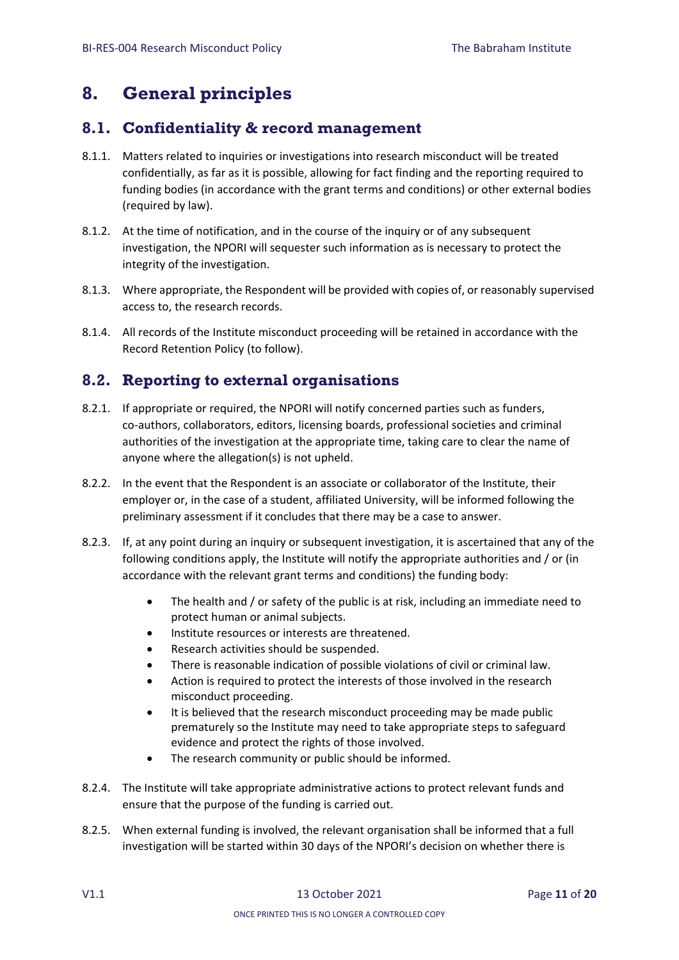## <span id="page-10-0"></span>**8. General principles**

### <span id="page-10-1"></span>**8.1. Confidentiality & record management**

- 8.1.1. Matters related to inquiries or investigations into research misconduct will be treated confidentially, as far as it is possible, allowing for fact finding and the reporting required to funding bodies (in accordance with the grant terms and conditions) or other external bodies (required by law).
- 8.1.2. At the time of notification, and in the course of the inquiry or of any subsequent investigation, the NPORI will sequester such information as is necessary to protect the integrity of the investigation.
- 8.1.3. Where appropriate, the Respondent will be provided with copies of, or reasonably supervised access to, the research records.
- 8.1.4. All records of the Institute misconduct proceeding will be retained in accordance with the Record Retention Policy (to follow).

### <span id="page-10-2"></span>**8.2. Reporting to external organisations**

- 8.2.1. If appropriate or required, the NPORI will notify concerned parties such as funders, co-authors, collaborators, editors, licensing boards, professional societies and criminal authorities of the investigation at the appropriate time, taking care to clear the name of anyone where the allegation(s) is not upheld.
- 8.2.2. In the event that the Respondent is an associate or collaborator of the Institute, their employer or, in the case of a student, affiliated University, will be informed following the preliminary assessment if it concludes that there may be a case to answer.
- 8.2.3. If, at any point during an inquiry or subsequent investigation, it is ascertained that any of the following conditions apply, the Institute will notify the appropriate authorities and / or (in accordance with the relevant grant terms and conditions) the funding body:
	- The health and / or safety of the public is at risk, including an immediate need to protect human or animal subjects.
	- Institute resources or interests are threatened.
	- Research activities should be suspended.
	- There is reasonable indication of possible violations of civil or criminal law.
	- Action is required to protect the interests of those involved in the research misconduct proceeding.
	- It is believed that the research misconduct proceeding may be made public prematurely so the Institute may need to take appropriate steps to safeguard evidence and protect the rights of those involved.
	- The research community or public should be informed.
- 8.2.4. The Institute will take appropriate administrative actions to protect relevant funds and ensure that the purpose of the funding is carried out.
- 8.2.5. When external funding is involved, the relevant organisation shall be informed that a full investigation will be started within 30 days of the NPORI's decision on whether there is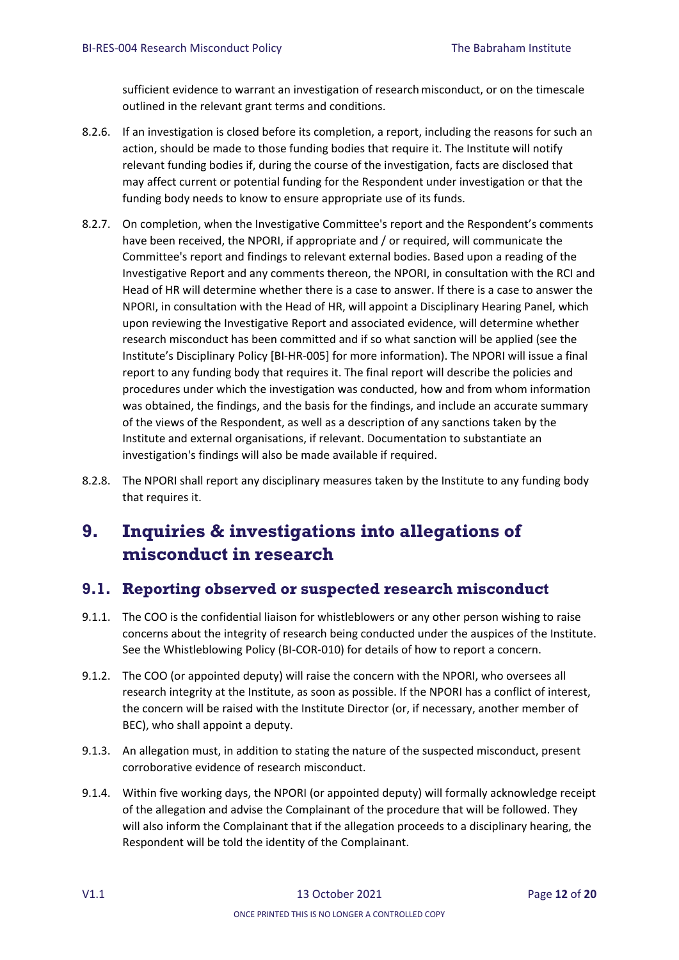sufficient evidence to warrant an investigation of research misconduct, or on the timescale outlined in the relevant grant terms and conditions.

- 8.2.6. If an investigation is closed before its completion, a report, including the reasons for such an action, should be made to those funding bodies that require it. The Institute will notify relevant funding bodies if, during the course of the investigation, facts are disclosed that may affect current or potential funding for the Respondent under investigation or that the funding body needs to know to ensure appropriate use of its funds.
- 8.2.7. On completion, when the Investigative Committee's report and the Respondent's comments have been received, the NPORI, if appropriate and / or required, will communicate the Committee's report and findings to relevant external bodies. Based upon a reading of the Investigative Report and any comments thereon, the NPORI, in consultation with the RCI and Head of HR will determine whether there is a case to answer. If there is a case to answer the NPORI, in consultation with the Head of HR, will appoint a Disciplinary Hearing Panel, which upon reviewing the Investigative Report and associated evidence, will determine whether research misconduct has been committed and if so what sanction will be applied (see the Institute's Disciplinary Policy [BI-HR-005] for more information). The NPORI will issue a final report to any funding body that requires it. The final report will describe the policies and procedures under which the investigation was conducted, how and from whom information was obtained, the findings, and the basis for the findings, and include an accurate summary of the views of the Respondent, as well as a description of any sanctions taken by the Institute and external organisations, if relevant. Documentation to substantiate an investigation's findings will also be made available if required.
- 8.2.8. The NPORI shall report any disciplinary measures taken by the Institute to any funding body that requires it.

## <span id="page-11-0"></span>**9. Inquiries & investigations into allegations of misconduct in research**

### <span id="page-11-1"></span>**9.1. Reporting observed or suspected research misconduct**

- 9.1.1. The COO is the confidential liaison for whistleblowers or any other person wishing to raise concerns about the integrity of research being conducted under the auspices of the Institute. See the Whistleblowing Policy (BI-COR-010) for details of how to report a concern.
- 9.1.2. The COO (or appointed deputy) will raise the concern with the NPORI, who oversees all research integrity at the Institute, as soon as possible. If the NPORI has a conflict of interest, the concern will be raised with the Institute Director (or, if necessary, another member of BEC), who shall appoint a deputy.
- 9.1.3. An allegation must, in addition to stating the nature of the suspected misconduct, present corroborative evidence of research misconduct.
- 9.1.4. Within five working days, the NPORI (or appointed deputy) will formally acknowledge receipt of the allegation and advise the Complainant of the procedure that will be followed. They will also inform the Complainant that if the allegation proceeds to a disciplinary hearing, the Respondent will be told the identity of the Complainant.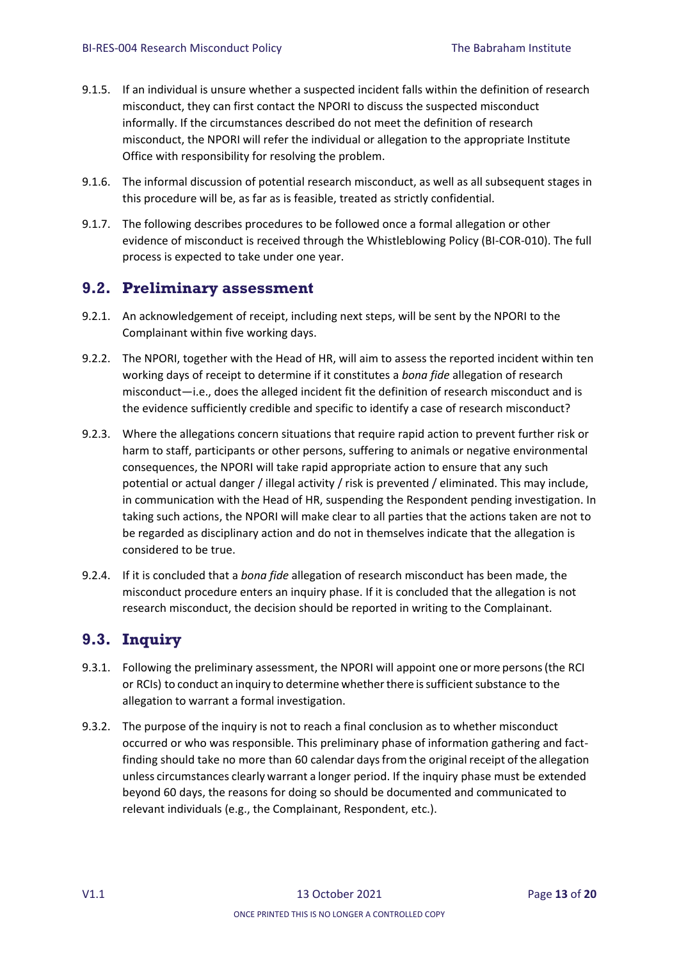- 9.1.5. If an individual is unsure whether a suspected incident falls within the definition of research misconduct, they can first contact the NPORI to discuss the suspected misconduct informally. If the circumstances described do not meet the definition of research misconduct, the NPORI will refer the individual or allegation to the appropriate Institute Office with responsibility for resolving the problem.
- 9.1.6. The informal discussion of potential research misconduct, as well as all subsequent stages in this procedure will be, as far as is feasible, treated as strictly confidential.
- 9.1.7. The following describes procedures to be followed once a formal allegation or other evidence of misconduct is received through the Whistleblowing Policy (BI-COR-010). The full process is expected to take under one year.

#### <span id="page-12-0"></span>**9.2. Preliminary assessment**

- 9.2.1. An acknowledgement of receipt, including next steps, will be sent by the NPORI to the Complainant within five working days.
- 9.2.2. The NPORI, together with the Head of HR, will aim to assess the reported incident within ten working days of receipt to determine if it constitutes a *bona fide* allegation of research misconduct—i.e., does the alleged incident fit the definition of research misconduct and is the evidence sufficiently credible and specific to identify a case of research misconduct?
- 9.2.3. Where the allegations concern situations that require rapid action to prevent further risk or harm to staff, participants or other persons, suffering to animals or negative environmental consequences, the NPORI will take rapid appropriate action to ensure that any such potential or actual danger / illegal activity / risk is prevented / eliminated. This may include, in communication with the Head of HR, suspending the Respondent pending investigation. In taking such actions, the NPORI will make clear to all parties that the actions taken are not to be regarded as disciplinary action and do not in themselves indicate that the allegation is considered to be true.
- 9.2.4. If it is concluded that a *bona fide* allegation of research misconduct has been made, the misconduct procedure enters an inquiry phase. If it is concluded that the allegation is not research misconduct, the decision should be reported in writing to the Complainant.

### <span id="page-12-1"></span>**9.3. Inquiry**

- 9.3.1. Following the preliminary assessment, the NPORI will appoint one ormore persons(the RCI or RCIs) to conduct an inquiry to determine whether there is sufficient substance to the allegation to warrant a formal investigation.
- 9.3.2. The purpose of the inquiry is not to reach a final conclusion as to whether misconduct occurred or who was responsible. This preliminary phase of information gathering and factfinding should take no more than 60 calendar days from the original receipt of the allegation unless circumstances clearly warrant a longer period. If the inquiry phase must be extended beyond 60 days, the reasons for doing so should be documented and communicated to relevant individuals (e.g., the Complainant, Respondent, etc.).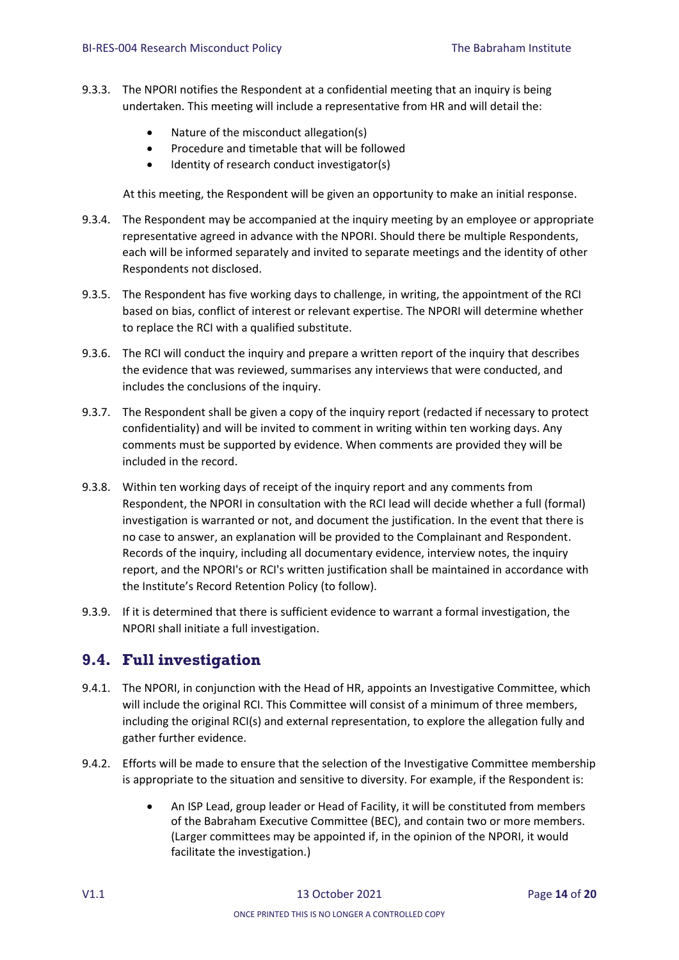- 9.3.3. The NPORI notifies the Respondent at a confidential meeting that an inquiry is being undertaken. This meeting will include a representative from HR and will detail the:
	- Nature of the misconduct allegation(s)
	- Procedure and timetable that will be followed
	- Identity of research conduct investigator(s)

At this meeting, the Respondent will be given an opportunity to make an initial response.

- 9.3.4. The Respondent may be accompanied at the inquiry meeting by an employee or appropriate representative agreed in advance with the NPORI. Should there be multiple Respondents, each will be informed separately and invited to separate meetings and the identity of other Respondents not disclosed.
- 9.3.5. The Respondent has five working days to challenge, in writing, the appointment of the RCI based on bias, conflict of interest or relevant expertise. The NPORI will determine whether to replace the RCI with a qualified substitute.
- 9.3.6. The RCI will conduct the inquiry and prepare a written report of the inquiry that describes the evidence that was reviewed, summarises any interviews that were conducted, and includes the conclusions of the inquiry.
- 9.3.7. The Respondent shall be given a copy of the inquiry report (redacted if necessary to protect confidentiality) and will be invited to comment in writing within ten working days. Any comments must be supported by evidence. When comments are provided they will be included in the record.
- 9.3.8. Within ten working days of receipt of the inquiry report and any comments from Respondent, the NPORI in consultation with the RCI lead will decide whether a full (formal) investigation is warranted or not, and document the justification. In the event that there is no case to answer, an explanation will be provided to the Complainant and Respondent. Records of the inquiry, including all documentary evidence, interview notes, the inquiry report, and the NPORI's or RCI's written justification shall be maintained in accordance with the Institute's Record Retention Policy (to follow).
- 9.3.9. If it is determined that there is sufficient evidence to warrant a formal investigation, the NPORI shall initiate a full investigation.

### <span id="page-13-0"></span>**9.4. Full investigation**

- 9.4.1. The NPORI, in conjunction with the Head of HR, appoints an Investigative Committee, which will include the original RCI. This Committee will consist of a minimum of three members, including the original RCI(s) and external representation, to explore the allegation fully and gather further evidence.
- 9.4.2. Efforts will be made to ensure that the selection of the Investigative Committee membership is appropriate to the situation and sensitive to diversity. For example, if the Respondent is:
	- An ISP Lead, group leader or Head of Facility, it will be constituted from members of the Babraham Executive Committee (BEC), and contain two or more members. (Larger committees may be appointed if, in the opinion of the NPORI, it would facilitate the investigation.)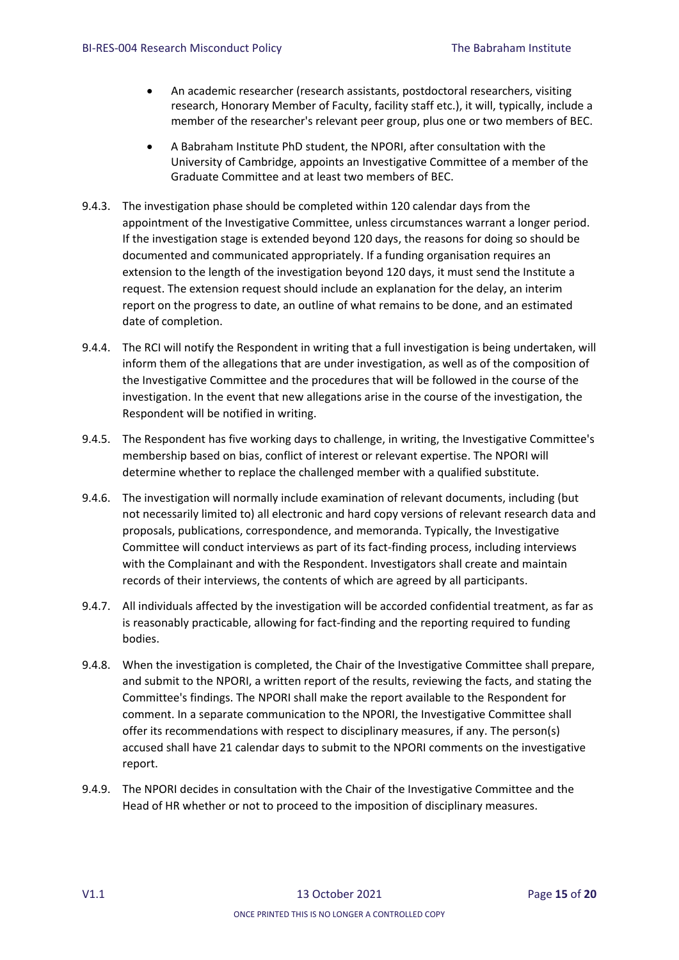- An academic researcher (research assistants, postdoctoral researchers, visiting research, Honorary Member of Faculty, facility staff etc.), it will, typically, include a member of the researcher's relevant peer group, plus one or two members of BEC.
- A Babraham Institute PhD student, the NPORI, after consultation with the University of Cambridge, appoints an Investigative Committee of a member of the Graduate Committee and at least two members of BEC.
- 9.4.3. The investigation phase should be completed within 120 calendar days from the appointment of the Investigative Committee, unless circumstances warrant a longer period. If the investigation stage is extended beyond 120 days, the reasons for doing so should be documented and communicated appropriately. If a funding organisation requires an extension to the length of the investigation beyond 120 days, it must send the Institute a request. The extension request should include an explanation for the delay, an interim report on the progress to date, an outline of what remains to be done, and an estimated date of completion.
- 9.4.4. The RCI will notify the Respondent in writing that a full investigation is being undertaken, will inform them of the allegations that are under investigation, as well as of the composition of the Investigative Committee and the procedures that will be followed in the course of the investigation. In the event that new allegations arise in the course of the investigation, the Respondent will be notified in writing.
- 9.4.5. The Respondent has five working days to challenge, in writing, the Investigative Committee's membership based on bias, conflict of interest or relevant expertise. The NPORI will determine whether to replace the challenged member with a qualified substitute.
- 9.4.6. The investigation will normally include examination of relevant documents, including (but not necessarily limited to) all electronic and hard copy versions of relevant research data and proposals, publications, correspondence, and memoranda. Typically, the Investigative Committee will conduct interviews as part of its fact-finding process, including interviews with the Complainant and with the Respondent. Investigators shall create and maintain records of their interviews, the contents of which are agreed by all participants.
- 9.4.7. All individuals affected by the investigation will be accorded confidential treatment, as far as is reasonably practicable, allowing for fact-finding and the reporting required to funding bodies.
- 9.4.8. When the investigation is completed, the Chair of the Investigative Committee shall prepare, and submit to the NPORI, a written report of the results, reviewing the facts, and stating the Committee's findings. The NPORI shall make the report available to the Respondent for comment. In a separate communication to the NPORI, the Investigative Committee shall offer its recommendations with respect to disciplinary measures, if any. The person(s) accused shall have 21 calendar days to submit to the NPORI comments on the investigative report.
- 9.4.9. The NPORI decides in consultation with the Chair of the Investigative Committee and the Head of HR whether or not to proceed to the imposition of disciplinary measures.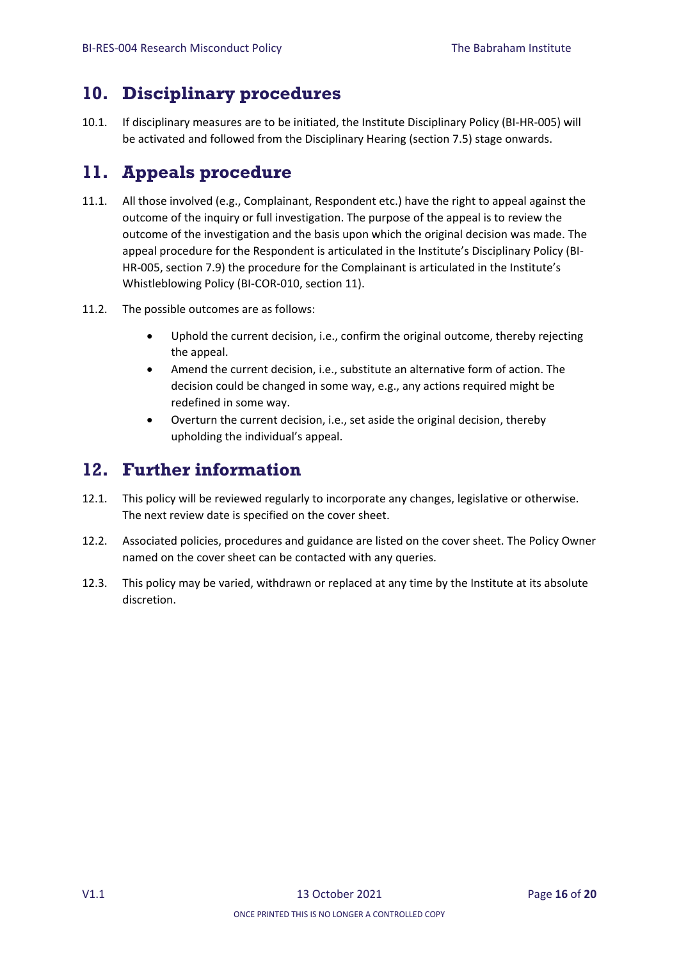## <span id="page-15-0"></span>**10. Disciplinary procedures**

10.1. If disciplinary measures are to be initiated, the Institute Disciplinary Policy (BI-HR-005) will be activated and followed from the Disciplinary Hearing (section 7.5) stage onwards.

## <span id="page-15-1"></span>**11. Appeals procedure**

- 11.1. All those involved (e.g., Complainant, Respondent etc.) have the right to appeal against the outcome of the inquiry or full investigation. The purpose of the appeal is to review the outcome of the investigation and the basis upon which the original decision was made. The appeal procedure for the Respondent is articulated in the Institute's Disciplinary Policy (BI-HR-005, section 7.9) the procedure for the Complainant is articulated in the Institute's Whistleblowing Policy (BI-COR-010, section 11).
- 11.2. The possible outcomes are as follows:
	- Uphold the current decision, i.e., confirm the original outcome, thereby rejecting the appeal.
	- Amend the current decision, i.e., substitute an alternative form of action. The decision could be changed in some way, e.g., any actions required might be redefined in some way.
	- Overturn the current decision, i.e., set aside the original decision, thereby upholding the individual's appeal.

## <span id="page-15-2"></span>**12. Further information**

- 12.1. This policy will be reviewed regularly to incorporate any changes, legislative or otherwise. The next review date is specified on the cover sheet.
- 12.2. Associated policies, procedures and guidance are listed on the cover sheet. The Policy Owner named on the cover sheet can be contacted with any queries.
- 12.3. This policy may be varied, withdrawn or replaced at any time by the Institute at its absolute discretion.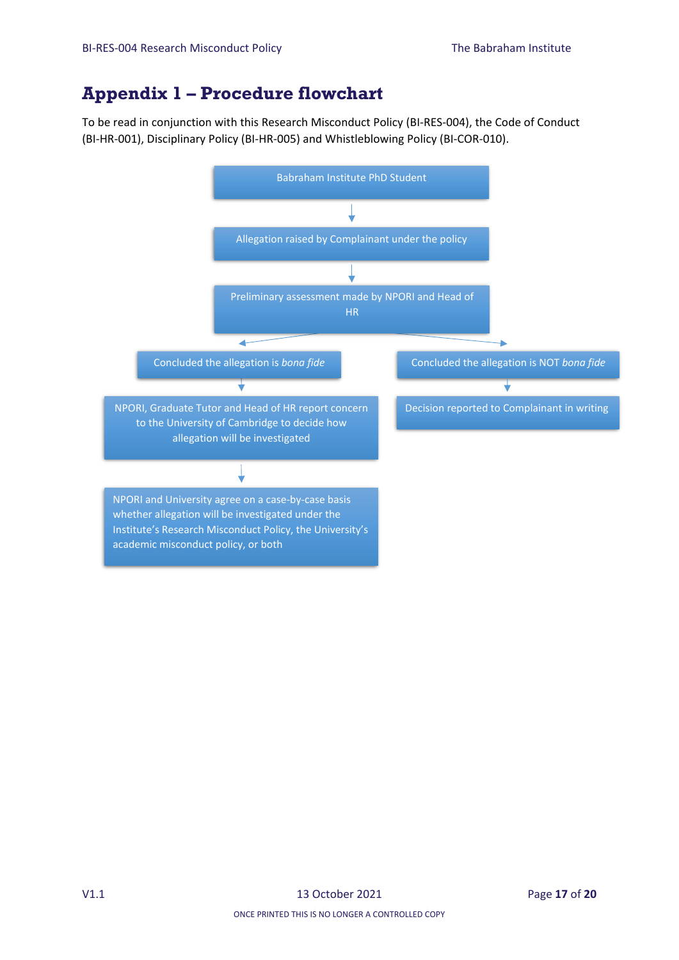## <span id="page-16-0"></span>**Appendix 1 – Procedure flowchart**

To be read in conjunction with this Research Misconduct Policy (BI-RES-004), the Code of Conduct (BI-HR-001), Disciplinary Policy (BI-HR-005) and Whistleblowing Policy (BI-COR-010).

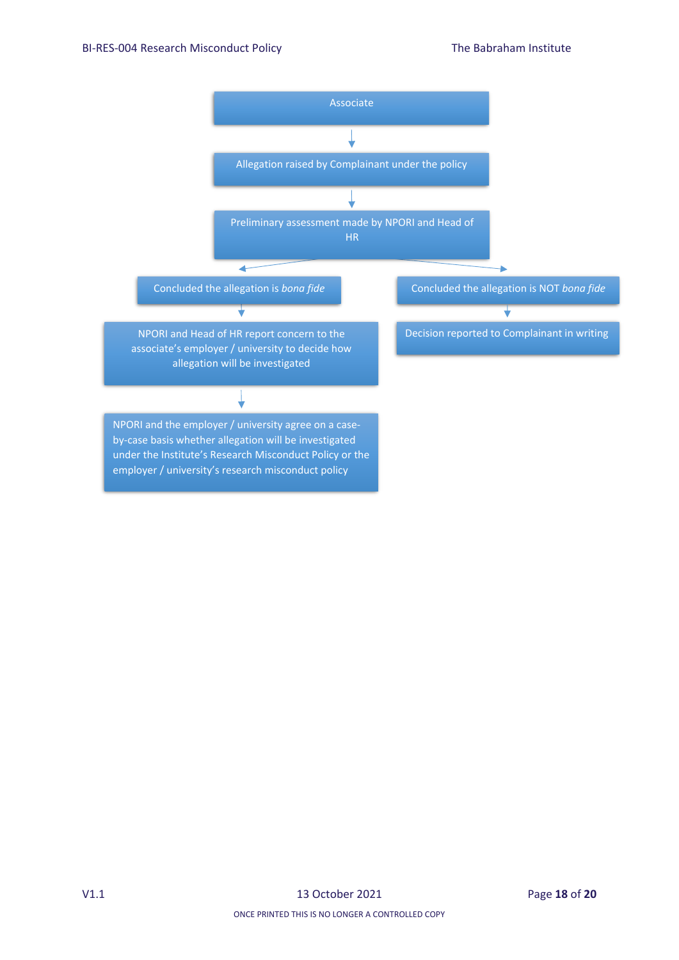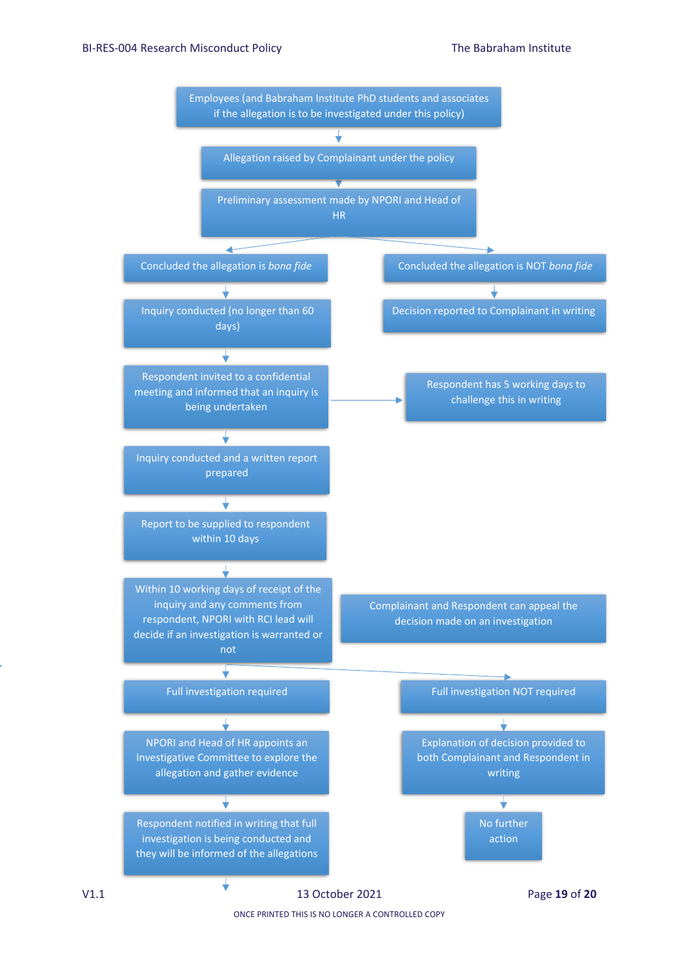

ONCE PRINTED THIS IS NO LONGER A CONTROLLED COPY